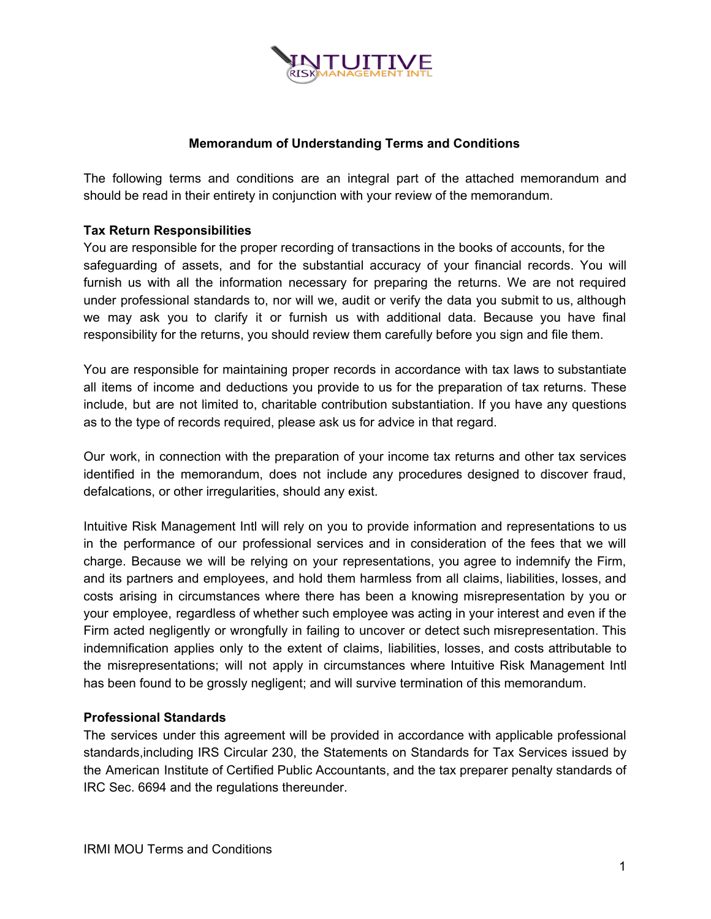

# **Memorandum of Understanding Terms and Conditions**

The following terms and conditions are an integral part of the attached memorandum and should be read in their entirety in conjunction with your review of the memorandum.

### **Tax Return Responsibilities**

You are responsible for the proper recording of transactions in the books of accounts, for the safeguarding of assets, and for the substantial accuracy of your financial records. You will furnish us with all the information necessary for preparing the returns. We are not required under professional standards to, nor will we, audit or verify the data you submit to us, although we may ask you to clarify it or furnish us with additional data. Because you have final responsibility for the returns, you should review them carefully before you sign and file them.

You are responsible for maintaining proper records in accordance with tax laws to substantiate all items of income and deductions you provide to us for the preparation of tax returns. These include, but are not limited to, charitable contribution substantiation. If you have any questions as to the type of records required, please ask us for advice in that regard.

Our work, in connection with the preparation of your income tax returns and other tax services identified in the memorandum, does not include any procedures designed to discover fraud, defalcations, or other irregularities, should any exist.

Intuitive Risk Management Intl will rely on you to provide information and representations to us in the performance of our professional services and in consideration of the fees that we will charge. Because we will be relying on your representations, you agree to indemnify the Firm, and its partners and employees, and hold them harmless from all claims, liabilities, losses, and costs arising in circumstances where there has been a knowing misrepresentation by you or your employee, regardless of whether such employee was acting in your interest and even if the Firm acted negligently or wrongfully in failing to uncover or detect such misrepresentation. This indemnification applies only to the extent of claims, liabilities, losses, and costs attributable to the misrepresentations; will not apply in circumstances where Intuitive Risk Management Intl has been found to be grossly negligent; and will survive termination of this memorandum.

# **Professional Standards**

The services under this agreement will be provided in accordance with applicable professional standards,including IRS Circular 230, the Statements on Standards for Tax Services issued by the American Institute of Certified Public Accountants, and the tax preparer penalty standards of IRC Sec. 6694 and the regulations thereunder.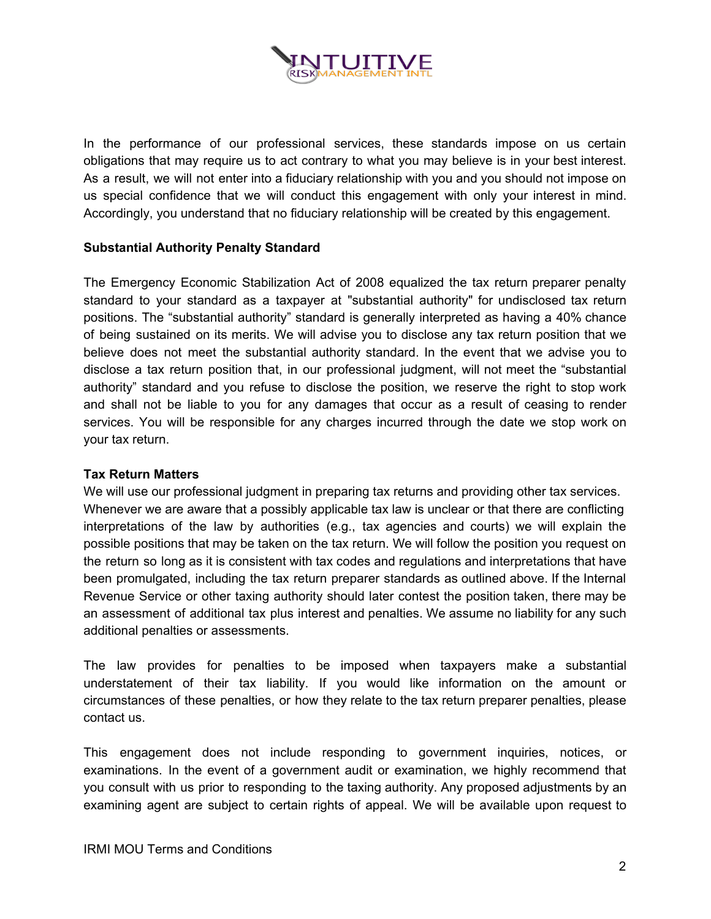

In the performance of our professional services, these standards impose on us certain obligations that may require us to act contrary to what you may believe is in your best interest. As a result, we will not enter into a fiduciary relationship with you and you should not impose on us special confidence that we will conduct this engagement with only your interest in mind. Accordingly, you understand that no fiduciary relationship will be created by this engagement.

# **Substantial Authority Penalty Standard**

The Emergency Economic Stabilization Act of 2008 equalized the tax return preparer penalty standard to your standard as a taxpayer at "substantial authority" for undisclosed tax return positions. The "substantial authority" standard is generally interpreted as having a 40% chance of being sustained on its merits. We will advise you to disclose any tax return position that we believe does not meet the substantial authority standard. In the event that we advise you to disclose a tax return position that, in our professional judgment, will not meet the "substantial authority" standard and you refuse to disclose the position, we reserve the right to stop work and shall not be liable to you for any damages that occur as a result of ceasing to render services. You will be responsible for any charges incurred through the date we stop work on your tax return.

#### **Tax Return Matters**

We will use our professional judgment in preparing tax returns and providing other tax services. Whenever we are aware that a possibly applicable tax law is unclear or that there are conflicting interpretations of the law by authorities (e.g., tax agencies and courts) we will explain the possible positions that may be taken on the tax return. We will follow the position you request on the return so long as it is consistent with tax codes and regulations and interpretations that have been promulgated, including the tax return preparer standards as outlined above. If the Internal Revenue Service or other taxing authority should later contest the position taken, there may be an assessment of additional tax plus interest and penalties. We assume no liability for any such additional penalties or assessments.

The law provides for penalties to be imposed when taxpayers make a substantial understatement of their tax liability. If you would like information on the amount or circumstances of these penalties, or how they relate to the tax return preparer penalties, please contact us.

This engagement does not include responding to government inquiries, notices, or examinations. In the event of a government audit or examination, we highly recommend that you consult with us prior to responding to the taxing authority. Any proposed adjustments by an examining agent are subject to certain rights of appeal. We will be available upon request to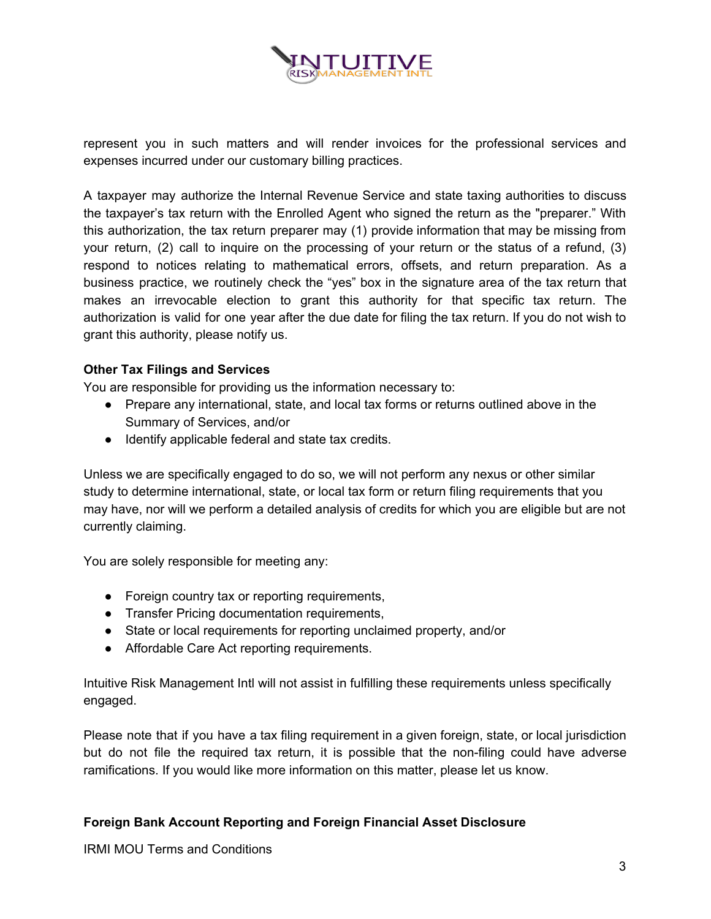

represent you in such matters and will render invoices for the professional services and expenses incurred under our customary billing practices.

A taxpayer may authorize the Internal Revenue Service and state taxing authorities to discuss the taxpayer's tax return with the Enrolled Agent who signed the return as the "preparer." With this authorization, the tax return preparer may (1) provide information that may be missing from your return, (2) call to inquire on the processing of your return or the status of a refund, (3) respond to notices relating to mathematical errors, offsets, and return preparation. As a business practice, we routinely check the "yes" box in the signature area of the tax return that makes an irrevocable election to grant this authority for that specific tax return. The authorization is valid for one year after the due date for filing the tax return. If you do not wish to grant this authority, please notify us.

# **Other Tax Filings and Services**

You are responsible for providing us the information necessary to:

- Prepare any international, state, and local tax forms or returns outlined above in the Summary of Services, and/or
- Identify applicable federal and state tax credits.

Unless we are specifically engaged to do so, we will not perform any nexus or other similar study to determine international, state, or local tax form or return filing requirements that you may have, nor will we perform a detailed analysis of credits for which you are eligible but are not currently claiming.

You are solely responsible for meeting any:

- Foreign country tax or reporting requirements,
- Transfer Pricing documentation requirements,
- State or local requirements for reporting unclaimed property, and/or
- Affordable Care Act reporting requirements.

Intuitive Risk Management Intl will not assist in fulfilling these requirements unless specifically engaged.

Please note that if you have a tax filing requirement in a given foreign, state, or local jurisdiction but do not file the required tax return, it is possible that the non-filing could have adverse ramifications. If you would like more information on this matter, please let us know.

# **Foreign Bank Account Reporting and Foreign Financial Asset Disclosure**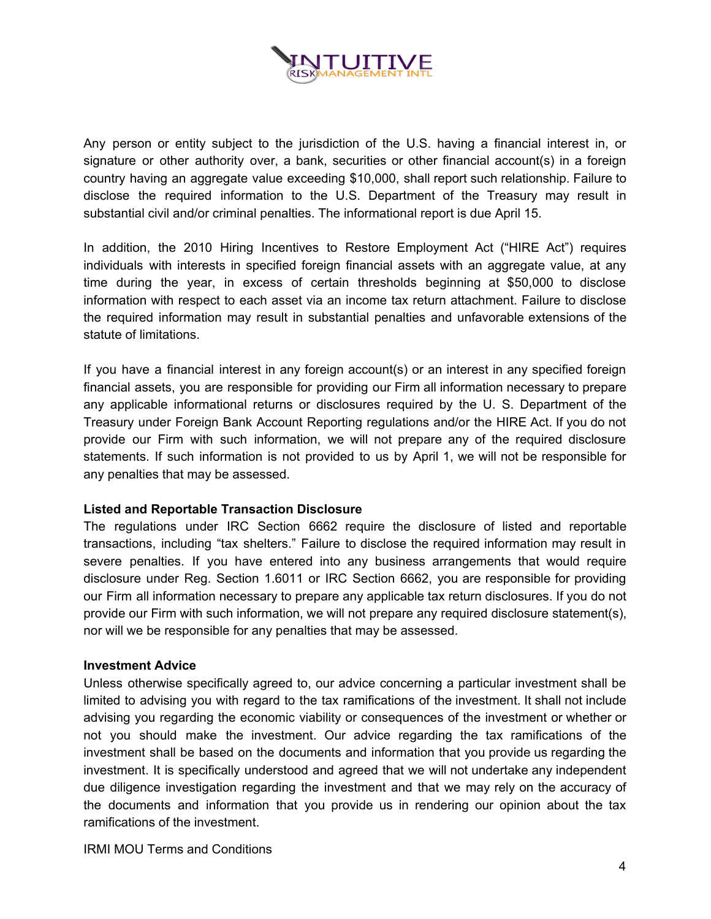

Any person or entity subject to the jurisdiction of the U.S. having a financial interest in, or signature or other authority over, a bank, securities or other financial account(s) in a foreign country having an aggregate value exceeding \$10,000, shall report such relationship. Failure to disclose the required information to the U.S. Department of the Treasury may result in substantial civil and/or criminal penalties. The informational report is due April 15.

In addition, the 2010 Hiring Incentives to Restore Employment Act ("HIRE Act") requires individuals with interests in specified foreign financial assets with an aggregate value, at any time during the year, in excess of certain thresholds beginning at \$50,000 to disclose information with respect to each asset via an income tax return attachment. Failure to disclose the required information may result in substantial penalties and unfavorable extensions of the statute of limitations.

If you have a financial interest in any foreign account(s) or an interest in any specified foreign financial assets, you are responsible for providing our Firm all information necessary to prepare any applicable informational returns or disclosures required by the U. S. Department of the Treasury under Foreign Bank Account Reporting regulations and/or the HIRE Act. If you do not provide our Firm with such information, we will not prepare any of the required disclosure statements. If such information is not provided to us by April 1, we will not be responsible for any penalties that may be assessed.

# **Listed and Reportable Transaction Disclosure**

The regulations under IRC Section 6662 require the disclosure of listed and reportable transactions, including "tax shelters." Failure to disclose the required information may result in severe penalties. If you have entered into any business arrangements that would require disclosure under Reg. Section 1.6011 or IRC Section 6662, you are responsible for providing our Firm all information necessary to prepare any applicable tax return disclosures. If you do not provide our Firm with such information, we will not prepare any required disclosure statement(s), nor will we be responsible for any penalties that may be assessed.

#### **Investment Advice**

Unless otherwise specifically agreed to, our advice concerning a particular investment shall be limited to advising you with regard to the tax ramifications of the investment. It shall not include advising you regarding the economic viability or consequences of the investment or whether or not you should make the investment. Our advice regarding the tax ramifications of the investment shall be based on the documents and information that you provide us regarding the investment. It is specifically understood and agreed that we will not undertake any independent due diligence investigation regarding the investment and that we may rely on the accuracy of the documents and information that you provide us in rendering our opinion about the tax ramifications of the investment.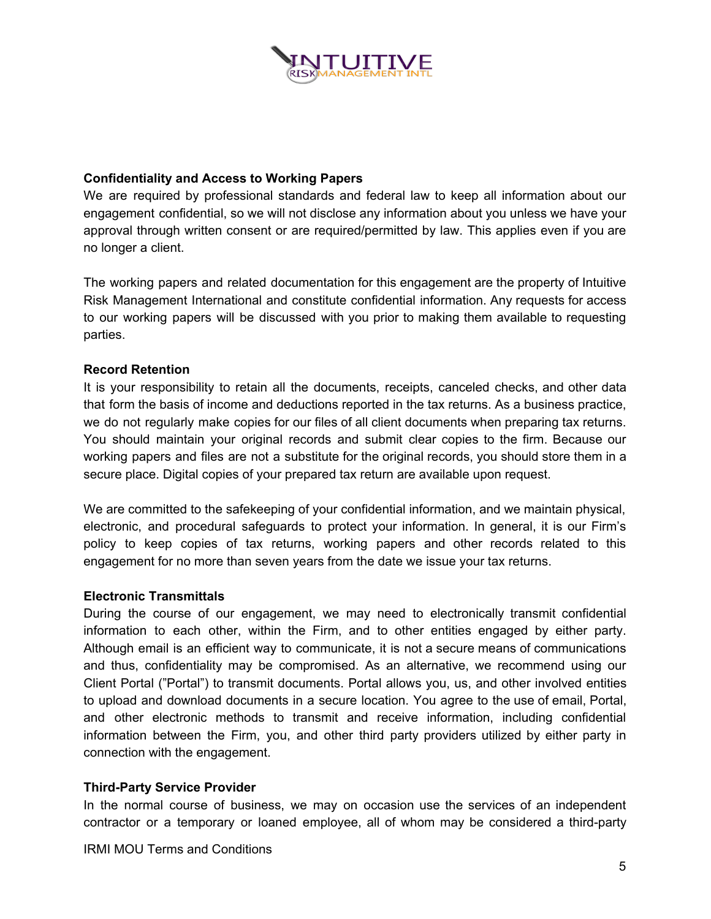

### **Confidentiality and Access to Working Papers**

We are required by professional standards and federal law to keep all information about our engagement confidential, so we will not disclose any information about you unless we have your approval through written consent or are required/permitted by law. This applies even if you are no longer a client.

The working papers and related documentation for this engagement are the property of Intuitive Risk Management International and constitute confidential information. Any requests for access to our working papers will be discussed with you prior to making them available to requesting parties.

### **Record Retention**

It is your responsibility to retain all the documents, receipts, canceled checks, and other data that form the basis of income and deductions reported in the tax returns. As a business practice, we do not regularly make copies for our files of all client documents when preparing tax returns. You should maintain your original records and submit clear copies to the firm. Because our working papers and files are not a substitute for the original records, you should store them in a secure place. Digital copies of your prepared tax return are available upon request.

We are committed to the safekeeping of your confidential information, and we maintain physical, electronic, and procedural safeguards to protect your information. In general, it is our Firm's policy to keep copies of tax returns, working papers and other records related to this engagement for no more than seven years from the date we issue your tax returns.

### **Electronic Transmittals**

During the course of our engagement, we may need to electronically transmit confidential information to each other, within the Firm, and to other entities engaged by either party. Although email is an efficient way to communicate, it is not a secure means of communications and thus, confidentiality may be compromised. As an alternative, we recommend using our Client Portal ("Portal") to transmit documents. Portal allows you, us, and other involved entities to upload and download documents in a secure location. You agree to the use of email, Portal, and other electronic methods to transmit and receive information, including confidential information between the Firm, you, and other third party providers utilized by either party in connection with the engagement.

#### **Third-Party Service Provider**

In the normal course of business, we may on occasion use the services of an independent contractor or a temporary or loaned employee, all of whom may be considered a third-party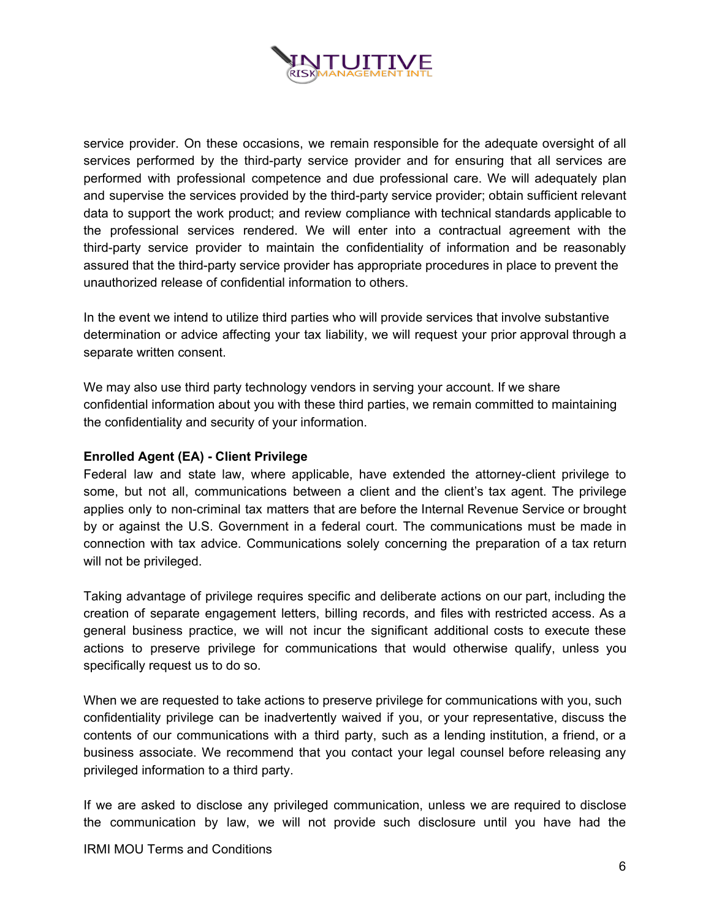

service provider. On these occasions, we remain responsible for the adequate oversight of all services performed by the third-party service provider and for ensuring that all services are performed with professional competence and due professional care. We will adequately plan and supervise the services provided by the third-party service provider; obtain sufficient relevant data to support the work product; and review compliance with technical standards applicable to the professional services rendered. We will enter into a contractual agreement with the third-party service provider to maintain the confidentiality of information and be reasonably assured that the third-party service provider has appropriate procedures in place to prevent the unauthorized release of confidential information to others.

In the event we intend to utilize third parties who will provide services that involve substantive determination or advice affecting your tax liability, we will request your prior approval through a separate written consent.

We may also use third party technology vendors in serving your account. If we share confidential information about you with these third parties, we remain committed to maintaining the confidentiality and security of your information.

### **Enrolled Agent (EA) - Client Privilege**

Federal law and state law, where applicable, have extended the attorney-client privilege to some, but not all, communications between a client and the client's tax agent. The privilege applies only to non-criminal tax matters that are before the Internal Revenue Service or brought by or against the U.S. Government in a federal court. The communications must be made in connection with tax advice. Communications solely concerning the preparation of a tax return will not be privileged.

Taking advantage of privilege requires specific and deliberate actions on our part, including the creation of separate engagement letters, billing records, and files with restricted access. As a general business practice, we will not incur the significant additional costs to execute these actions to preserve privilege for communications that would otherwise qualify, unless you specifically request us to do so.

When we are requested to take actions to preserve privilege for communications with you, such confidentiality privilege can be inadvertently waived if you, or your representative, discuss the contents of our communications with a third party, such as a lending institution, a friend, or a business associate. We recommend that you contact your legal counsel before releasing any privileged information to a third party.

If we are asked to disclose any privileged communication, unless we are required to disclose the communication by law, we will not provide such disclosure until you have had the